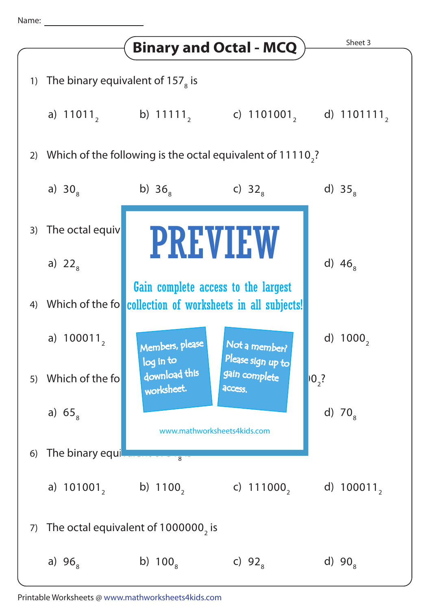## Name: